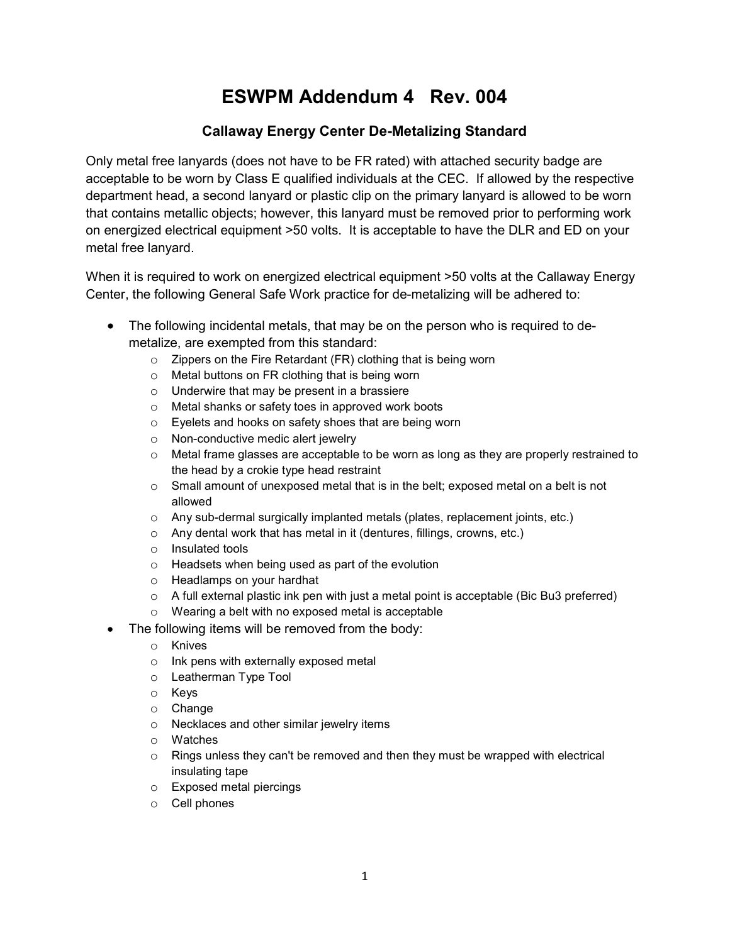## ESWPM Addendum 4 Rev. 004

## Callaway Energy Center De-Metalizing Standard

Only metal free lanyards (does not have to be FR rated) with attached security badge are acceptable to be worn by Class E qualified individuals at the CEC. If allowed by the respective department head, a second lanyard or plastic clip on the primary lanyard is allowed to be worn that contains metallic objects; however, this lanyard must be removed prior to performing work on energized electrical equipment >50 volts. It is acceptable to have the DLR and ED on your metal free lanyard.

When it is required to work on energized electrical equipment >50 volts at the Callaway Energy Center, the following General Safe Work practice for de-metalizing will be adhered to:

- The following incidental metals, that may be on the person who is required to demetalize, are exempted from this standard:
	- o Zippers on the Fire Retardant (FR) clothing that is being worn
	- o Metal buttons on FR clothing that is being worn
	- o Underwire that may be present in a brassiere
	- o Metal shanks or safety toes in approved work boots
	- o Eyelets and hooks on safety shoes that are being worn
	- o Non-conductive medic alert jewelry
	- $\circ$  Metal frame glasses are acceptable to be worn as long as they are properly restrained to the head by a crokie type head restraint
	- o Small amount of unexposed metal that is in the belt; exposed metal on a belt is not allowed
	- o Any sub-dermal surgically implanted metals (plates, replacement joints, etc.)
	- o Any dental work that has metal in it (dentures, fillings, crowns, etc.)
	- o Insulated tools
	- o Headsets when being used as part of the evolution
	- o Headlamps on your hardhat
	- o A full external plastic ink pen with just a metal point is acceptable (Bic Bu3 preferred)
	- o Wearing a belt with no exposed metal is acceptable
- The following items will be removed from the body:
	- o Knives
	- o Ink pens with externally exposed metal
	- o Leatherman Type Tool
	- o Keys
	- o Change
	- o Necklaces and other similar jewelry items
	- o Watches
	- $\circ$  Rings unless they can't be removed and then they must be wrapped with electrical insulating tape
	- o Exposed metal piercings
	- o Cell phones